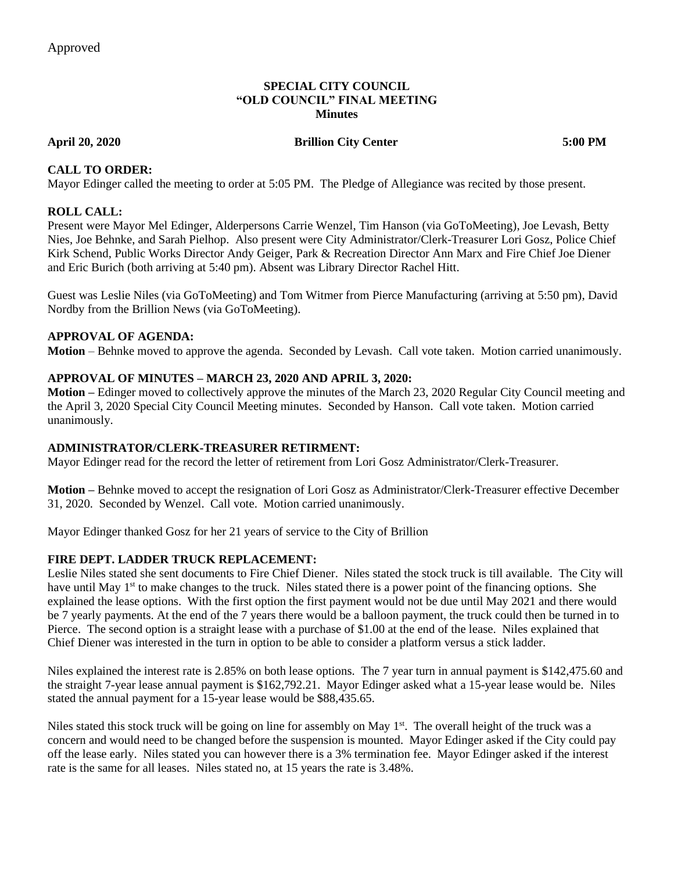#### **SPECIAL CITY COUNCIL "OLD COUNCIL" FINAL MEETING Minutes**

#### **April 20, 2020 Brillion City Center 5:00 PM**

#### **CALL TO ORDER:**

Mayor Edinger called the meeting to order at 5:05 PM. The Pledge of Allegiance was recited by those present.

### **ROLL CALL:**

Present were Mayor Mel Edinger, Alderpersons Carrie Wenzel, Tim Hanson (via GoToMeeting), Joe Levash, Betty Nies, Joe Behnke, and Sarah Pielhop. Also present were City Administrator/Clerk-Treasurer Lori Gosz, Police Chief Kirk Schend, Public Works Director Andy Geiger, Park & Recreation Director Ann Marx and Fire Chief Joe Diener and Eric Burich (both arriving at 5:40 pm). Absent was Library Director Rachel Hitt.

Guest was Leslie Niles (via GoToMeeting) and Tom Witmer from Pierce Manufacturing (arriving at 5:50 pm), David Nordby from the Brillion News (via GoToMeeting).

#### **APPROVAL OF AGENDA:**

**Motion** – Behnke moved to approve the agenda. Seconded by Levash. Call vote taken. Motion carried unanimously.

#### **APPROVAL OF MINUTES – MARCH 23, 2020 AND APRIL 3, 2020:**

**Motion –** Edinger moved to collectively approve the minutes of the March 23, 2020 Regular City Council meeting and the April 3, 2020 Special City Council Meeting minutes. Seconded by Hanson. Call vote taken. Motion carried unanimously.

#### **ADMINISTRATOR/CLERK-TREASURER RETIRMENT:**

Mayor Edinger read for the record the letter of retirement from Lori Gosz Administrator/Clerk-Treasurer.

**Motion –** Behnke moved to accept the resignation of Lori Gosz as Administrator/Clerk-Treasurer effective December 31, 2020. Seconded by Wenzel. Call vote. Motion carried unanimously.

Mayor Edinger thanked Gosz for her 21 years of service to the City of Brillion

#### **FIRE DEPT. LADDER TRUCK REPLACEMENT:**

Leslie Niles stated she sent documents to Fire Chief Diener. Niles stated the stock truck is till available. The City will have until May  $1<sup>st</sup>$  to make changes to the truck. Niles stated there is a power point of the financing options. She explained the lease options. With the first option the first payment would not be due until May 2021 and there would be 7 yearly payments. At the end of the 7 years there would be a balloon payment, the truck could then be turned in to Pierce. The second option is a straight lease with a purchase of \$1.00 at the end of the lease. Niles explained that Chief Diener was interested in the turn in option to be able to consider a platform versus a stick ladder.

Niles explained the interest rate is 2.85% on both lease options. The 7 year turn in annual payment is \$142,475.60 and the straight 7-year lease annual payment is \$162,792.21. Mayor Edinger asked what a 15-year lease would be. Niles stated the annual payment for a 15-year lease would be \$88,435.65.

Niles stated this stock truck will be going on line for assembly on May 1<sup>st</sup>. The overall height of the truck was a concern and would need to be changed before the suspension is mounted. Mayor Edinger asked if the City could pay off the lease early. Niles stated you can however there is a 3% termination fee. Mayor Edinger asked if the interest rate is the same for all leases. Niles stated no, at 15 years the rate is 3.48%.